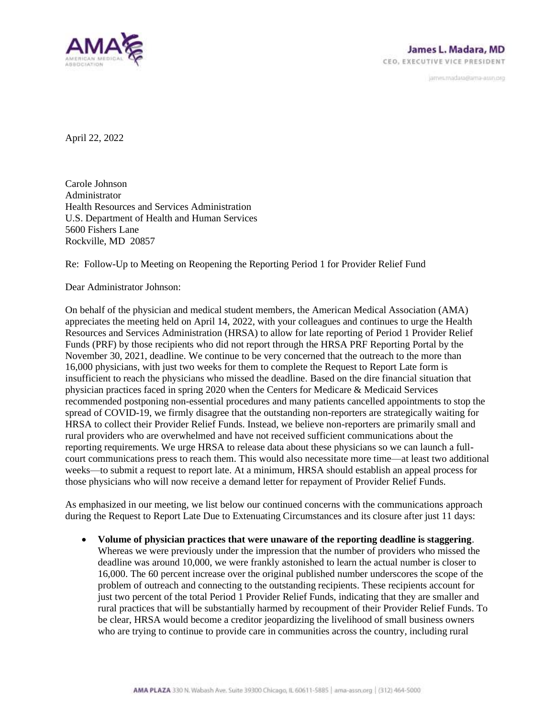

janves.madara@ama-assn.org

April 22, 2022

Carole Johnson Administrator Health Resources and Services Administration U.S. Department of Health and Human Services 5600 Fishers Lane Rockville, MD 20857

Re: Follow-Up to Meeting on Reopening the Reporting Period 1 for Provider Relief Fund

Dear Administrator Johnson:

On behalf of the physician and medical student members, the American Medical Association (AMA) appreciates the meeting held on April 14, 2022, with your colleagues and continues to urge the Health Resources and Services Administration (HRSA) to allow for late reporting of Period 1 Provider Relief Funds (PRF) by those recipients who did not report through the HRSA PRF Reporting Portal by the November 30, 2021, deadline. We continue to be very concerned that the outreach to the more than 16,000 physicians, with just two weeks for them to complete the Request to Report Late form is insufficient to reach the physicians who missed the deadline. Based on the dire financial situation that physician practices faced in spring 2020 when the Centers for Medicare & Medicaid Services recommended postponing non-essential procedures and many patients cancelled appointments to stop the spread of COVID-19, we firmly disagree that the outstanding non-reporters are strategically waiting for HRSA to collect their Provider Relief Funds. Instead, we believe non-reporters are primarily small and rural providers who are overwhelmed and have not received sufficient communications about the reporting requirements. We urge HRSA to release data about these physicians so we can launch a fullcourt communications press to reach them. This would also necessitate more time—at least two additional weeks—to submit a request to report late. At a minimum, HRSA should establish an appeal process for those physicians who will now receive a demand letter for repayment of Provider Relief Funds.

As emphasized in our meeting, we list below our continued concerns with the communications approach during the Request to Report Late Due to Extenuating Circumstances and its closure after just 11 days:

• **Volume of physician practices that were unaware of the reporting deadline is staggering**. Whereas we were previously under the impression that the number of providers who missed the deadline was around 10,000, we were frankly astonished to learn the actual number is closer to 16,000. The 60 percent increase over the original published number underscores the scope of the problem of outreach and connecting to the outstanding recipients. These recipients account for just two percent of the total Period 1 Provider Relief Funds, indicating that they are smaller and rural practices that will be substantially harmed by recoupment of their Provider Relief Funds. To be clear, HRSA would become a creditor jeopardizing the livelihood of small business owners who are trying to continue to provide care in communities across the country, including rural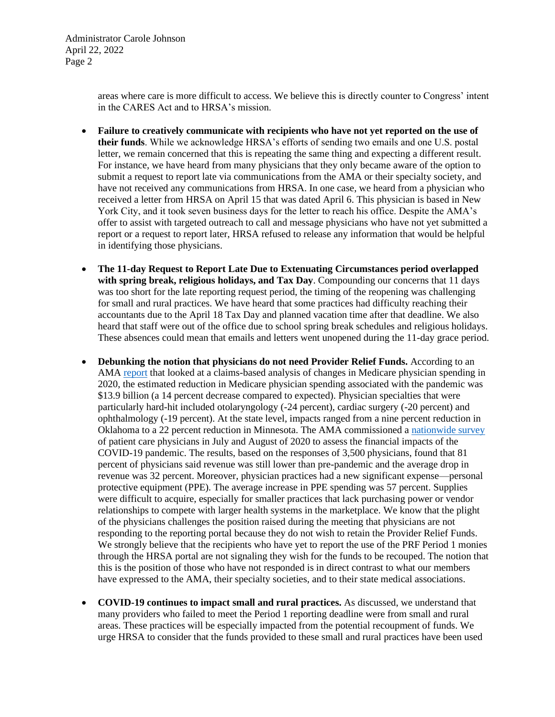Administrator Carole Johnson April 22, 2022 Page 2

> areas where care is more difficult to access. We believe this is directly counter to Congress' intent in the CARES Act and to HRSA's mission.

- **Failure to creatively communicate with recipients who have not yet reported on the use of their funds**. While we acknowledge HRSA's efforts of sending two emails and one U.S. postal letter, we remain concerned that this is repeating the same thing and expecting a different result. For instance, we have heard from many physicians that they only became aware of the option to submit a request to report late via communications from the AMA or their specialty society, and have not received any communications from HRSA. In one case, we heard from a physician who received a letter from HRSA on April 15 that was dated April 6. This physician is based in New York City, and it took seven business days for the letter to reach his office. Despite the AMA's offer to assist with targeted outreach to call and message physicians who have not yet submitted a report or a request to report later, HRSA refused to release any information that would be helpful in identifying those physicians.
- **The 11-day Request to Report Late Due to Extenuating Circumstances period overlapped with spring break, religious holidays, and Tax Day**. Compounding our concerns that 11 days was too short for the late reporting request period, the timing of the reopening was challenging for small and rural practices. We have heard that some practices had difficulty reaching their accountants due to the April 18 Tax Day and planned vacation time after that deadline. We also heard that staff were out of the office due to school spring break schedules and religious holidays. These absences could mean that emails and letters went unopened during the 11-day grace period.
- **Debunking the notion that physicians do not need Provider Relief Funds.** According to an AMA [report](https://www.ama-assn.org/system/files/2020-prp-covid-impact-medicare-physician-spending.pdf) that looked at a claims-based analysis of changes in Medicare physician spending in 2020, the estimated reduction in Medicare physician spending associated with the pandemic was \$13.9 billion (a 14 percent decrease compared to expected). Physician specialties that were particularly hard-hit included otolaryngology (-24 percent), cardiac surgery (-20 percent) and ophthalmology (-19 percent). At the state level, impacts ranged from a nine percent reduction in Oklahoma to a 22 percent reduction in Minnesota. The AMA commissioned a [nationwide survey](https://www.ama-assn.org/system/files/2020-10/covid-19-physician-practice-financial-impact-survey-results.pdf) of patient care physicians in July and August of 2020 to assess the financial impacts of the COVID-19 pandemic. The results, based on the responses of 3,500 physicians, found that 81 percent of physicians said revenue was still lower than pre-pandemic and the average drop in revenue was 32 percent. Moreover, physician practices had a new significant expense—personal protective equipment (PPE). The average increase in PPE spending was 57 percent. Supplies were difficult to acquire, especially for smaller practices that lack purchasing power or vendor relationships to compete with larger health systems in the marketplace. We know that the plight of the physicians challenges the position raised during the meeting that physicians are not responding to the reporting portal because they do not wish to retain the Provider Relief Funds. We strongly believe that the recipients who have yet to report the use of the PRF Period 1 monies through the HRSA portal are not signaling they wish for the funds to be recouped. The notion that this is the position of those who have not responded is in direct contrast to what our members have expressed to the AMA, their specialty societies, and to their state medical associations.
- **COVID-19 continues to impact small and rural practices.** As discussed, we understand that many providers who failed to meet the Period 1 reporting deadline were from small and rural areas. These practices will be especially impacted from the potential recoupment of funds. We urge HRSA to consider that the funds provided to these small and rural practices have been used